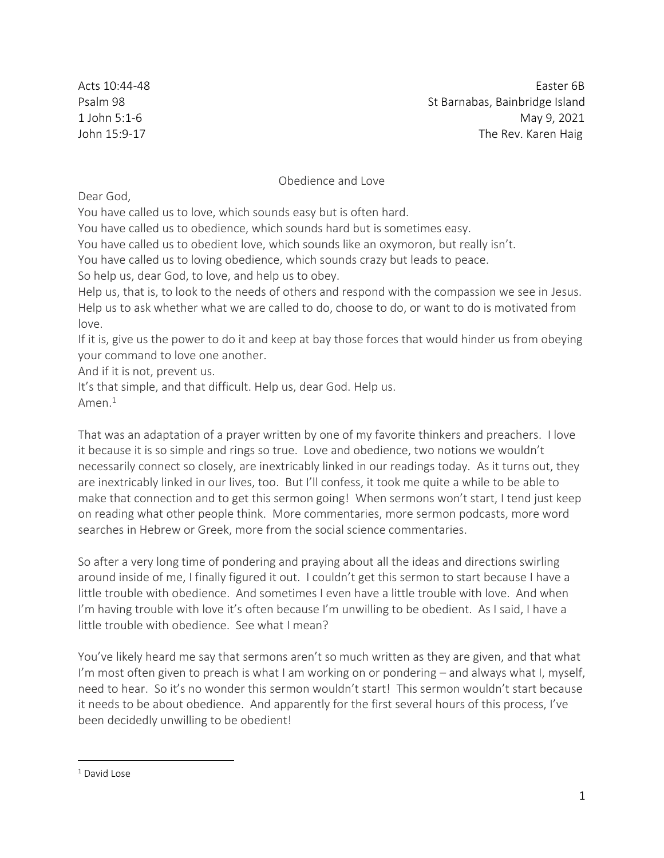Acts 10:44-48 Easter 6B Psalm 98 St Barnabas, Bainbridge Island 1 John 5:1-6 May 9, 2021 John 15:9-17 The Rev. Karen Haig

## Obedience and Love

Dear God,

You have called us to love, which sounds easy but is often hard.

You have called us to obedience, which sounds hard but is sometimes easy.

You have called us to obedient love, which sounds like an oxymoron, but really isn't.

You have called us to loving obedience, which sounds crazy but leads to peace.

So help us, dear God, to love, and help us to obey.

Help us, that is, to look to the needs of others and respond with the compassion we see in Jesus. Help us to ask whether what we are called to do, choose to do, or want to do is motivated from love.

If it is, give us the power to do it and keep at bay those forces that would hinder us from obeying your command to love one another.

And if it is not, prevent us.

It's that simple, and that difficult. Help us, dear God. Help us. Amen. $1$ 

That was an adaptation of a prayer written by one of my favorite thinkers and preachers. I love it because it is so simple and rings so true. Love and obedience, two notions we wouldn't necessarily connect so closely, are inextricably linked in our readings today. As it turns out, they are inextricably linked in our lives, too. But I'll confess, it took me quite a while to be able to make that connection and to get this sermon going! When sermons won't start, I tend just keep on reading what other people think. More commentaries, more sermon podcasts, more word searches in Hebrew or Greek, more from the social science commentaries.

So after a very long time of pondering and praying about all the ideas and directions swirling around inside of me, I finally figured it out. I couldn't get this sermon to start because I have a little trouble with obedience. And sometimes I even have a little trouble with love. And when I'm having trouble with love it's often because I'm unwilling to be obedient. As I said, I have a little trouble with obedience. See what I mean?

You've likely heard me say that sermons aren't so much written as they are given, and that what I'm most often given to preach is what I am working on or pondering – and always what I, myself, need to hear. So it's no wonder this sermon wouldn't start! This sermon wouldn't start because it needs to be about obedience. And apparently for the first several hours of this process, I've been decidedly unwilling to be obedient!

 $1$  David Lose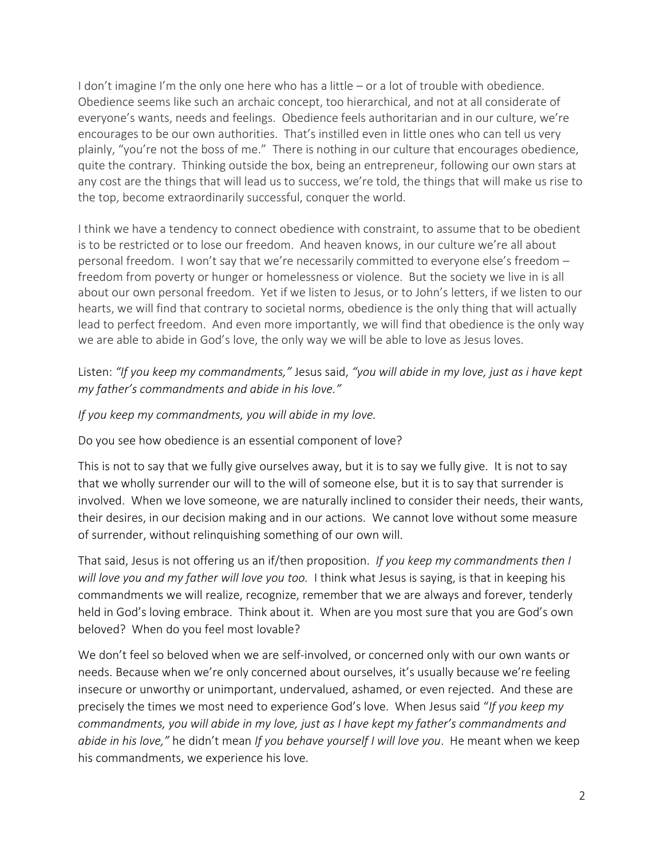I don't imagine I'm the only one here who has a little – or a lot of trouble with obedience. Obedience seems like such an archaic concept, too hierarchical, and not at all considerate of everyone's wants, needs and feelings. Obedience feels authoritarian and in our culture, we're encourages to be our own authorities. That's instilled even in little ones who can tell us very plainly, "you're not the boss of me." There is nothing in our culture that encourages obedience, quite the contrary. Thinking outside the box, being an entrepreneur, following our own stars at any cost are the things that will lead us to success, we're told, the things that will make us rise to the top, become extraordinarily successful, conquer the world.

I think we have a tendency to connect obedience with constraint, to assume that to be obedient is to be restricted or to lose our freedom. And heaven knows, in our culture we're all about personal freedom. I won't say that we're necessarily committed to everyone else's freedom – freedom from poverty or hunger or homelessness or violence. But the society we live in is all about our own personal freedom. Yet if we listen to Jesus, or to John's letters, if we listen to our hearts, we will find that contrary to societal norms, obedience is the only thing that will actually lead to perfect freedom. And even more importantly, we will find that obedience is the only way we are able to abide in God's love, the only way we will be able to love as Jesus loves.

## Listen: *"If you keep my commandments,"* Jesus said, *"you will abide in my love, just as i have kept my father's commandments and abide in his love."*

*If you keep my commandments, you will abide in my love.*

Do you see how obedience is an essential component of love?

This is not to say that we fully give ourselves away, but it is to say we fully give. It is not to say that we wholly surrender our will to the will of someone else, but it is to say that surrender is involved. When we love someone, we are naturally inclined to consider their needs, their wants, their desires, in our decision making and in our actions. We cannot love without some measure of surrender, without relinquishing something of our own will.

That said, Jesus is not offering us an if/then proposition. *If you keep my commandments then I will love you and my father will love you too.* I think what Jesus is saying, is that in keeping his commandments we will realize, recognize, remember that we are always and forever, tenderly held in God's loving embrace. Think about it. When are you most sure that you are God's own beloved? When do you feel most lovable?

We don't feel so beloved when we are self-involved, or concerned only with our own wants or needs. Because when we're only concerned about ourselves, it's usually because we're feeling insecure or unworthy or unimportant, undervalued, ashamed, or even rejected. And these are precisely the times we most need to experience God's love. When Jesus said "*If you keep my commandments, you will abide in my love, just as I have kept my father's commandments and abide in his love,"* he didn't mean *If you behave yourself I will love you*. He meant when we keep his commandments, we experience his love.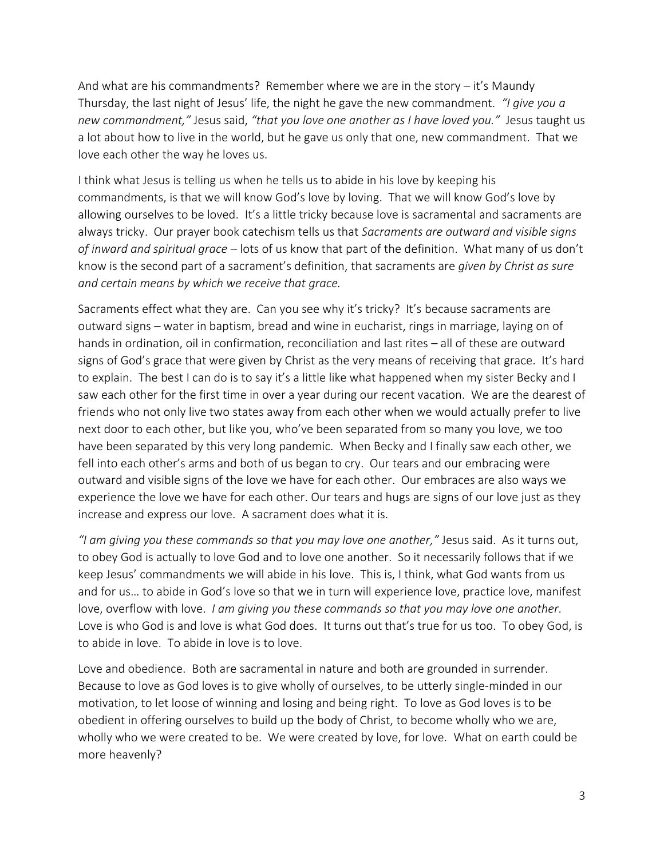And what are his commandments? Remember where we are in the story – it's Maundy Thursday, the last night of Jesus' life, the night he gave the new commandment. *"I give you a new commandment,"* Jesus said, *"that you love one another as I have loved you."* Jesus taught us a lot about how to live in the world, but he gave us only that one, new commandment. That we love each other the way he loves us.

I think what Jesus is telling us when he tells us to abide in his love by keeping his commandments, is that we will know God's love by loving. That we will know God's love by allowing ourselves to be loved. It's a little tricky because love is sacramental and sacraments are always tricky. Our prayer book catechism tells us that *Sacraments are outward and visible signs of inward and spiritual grace* – lots of us know that part of the definition. What many of us don't know is the second part of a sacrament's definition, that sacraments are *given by Christ as sure and certain means by which we receive that grace.* 

Sacraments effect what they are. Can you see why it's tricky? It's because sacraments are outward signs – water in baptism, bread and wine in eucharist, rings in marriage, laying on of hands in ordination, oil in confirmation, reconciliation and last rites – all of these are outward signs of God's grace that were given by Christ as the very means of receiving that grace. It's hard to explain. The best I can do is to say it's a little like what happened when my sister Becky and I saw each other for the first time in over a year during our recent vacation. We are the dearest of friends who not only live two states away from each other when we would actually prefer to live next door to each other, but like you, who've been separated from so many you love, we too have been separated by this very long pandemic. When Becky and I finally saw each other, we fell into each other's arms and both of us began to cry. Our tears and our embracing were outward and visible signs of the love we have for each other. Our embraces are also ways we experience the love we have for each other. Our tears and hugs are signs of our love just as they increase and express our love. A sacrament does what it is.

*"I am giving you these commands so that you may love one another,"* Jesus said. As it turns out, to obey God is actually to love God and to love one another. So it necessarily follows that if we keep Jesus' commandments we will abide in his love. This is, I think, what God wants from us and for us… to abide in God's love so that we in turn will experience love, practice love, manifest love, overflow with love. *I am giving you these commands so that you may love one another.*  Love is who God is and love is what God does. It turns out that's true for us too. To obey God, is to abide in love. To abide in love is to love.

Love and obedience. Both are sacramental in nature and both are grounded in surrender. Because to love as God loves is to give wholly of ourselves, to be utterly single-minded in our motivation, to let loose of winning and losing and being right. To love as God loves is to be obedient in offering ourselves to build up the body of Christ, to become wholly who we are, wholly who we were created to be. We were created by love, for love. What on earth could be more heavenly?